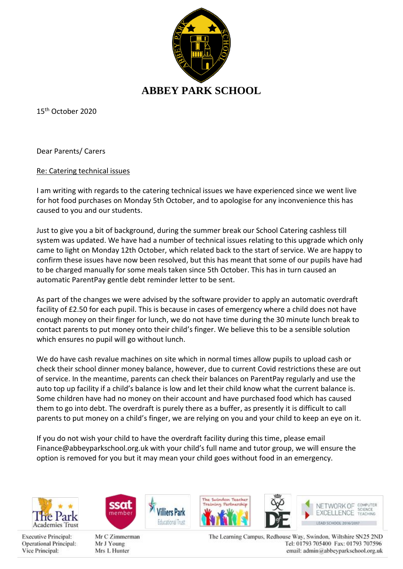

15th October 2020

Dear Parents/ Carers

## Re: Catering technical issues

I am writing with regards to the catering technical issues we have experienced since we went live for hot food purchases on Monday 5th October, and to apologise for any inconvenience this has caused to you and our students.

Just to give you a bit of background, during the summer break our School Catering cashless till system was updated. We have had a number of technical issues relating to this upgrade which only came to light on Monday 12th October, which related back to the start of service. We are happy to confirm these issues have now been resolved, but this has meant that some of our pupils have had to be charged manually for some meals taken since 5th October. This has in turn caused an automatic ParentPay gentle debt reminder letter to be sent.

As part of the changes we were advised by the software provider to apply an automatic overdraft facility of £2.50 for each pupil. This is because in cases of emergency where a child does not have enough money on their finger for lunch, we do not have time during the 30 minute lunch break to contact parents to put money onto their child's finger. We believe this to be a sensible solution which ensures no pupil will go without lunch.

We do have cash revalue machines on site which in normal times allow pupils to upload cash or check their school dinner money balance, however, due to current Covid restrictions these are out of service. In the meantime, parents can check their balances on ParentPay regularly and use the auto top up facility if a child's balance is low and let their child know what the current balance is. Some children have had no money on their account and have purchased food which has caused them to go into debt. The overdraft is purely there as a buffer, as presently it is difficult to call parents to put money on a child's finger, we are relying on you and your child to keep an eye on it.

If you do not wish your child to have the overdraft facility during this time, please email Finance@abbeyparkschool.org.uk with your child's full name and tutor group, we will ensure the option is removed for you but it may mean your child goes without food in an emergency.



**Executive Principal:** Operational Principal: Vice Principal:



Mr C Zimmerman Mr J Young Mrs L Hunter

The Suindon Teacher in Partmership



NETWORK OF COMPUTER COEMPE EXCELLENCE TEACHING LEAD SCHOOL 2016/2017

The Learning Campus, Redhouse Way, Swindon, Wiltshire SN25 2ND Tel: 01793 705400 Fax: 01793 707596 email: admin@abbeyparkschool.org.uk